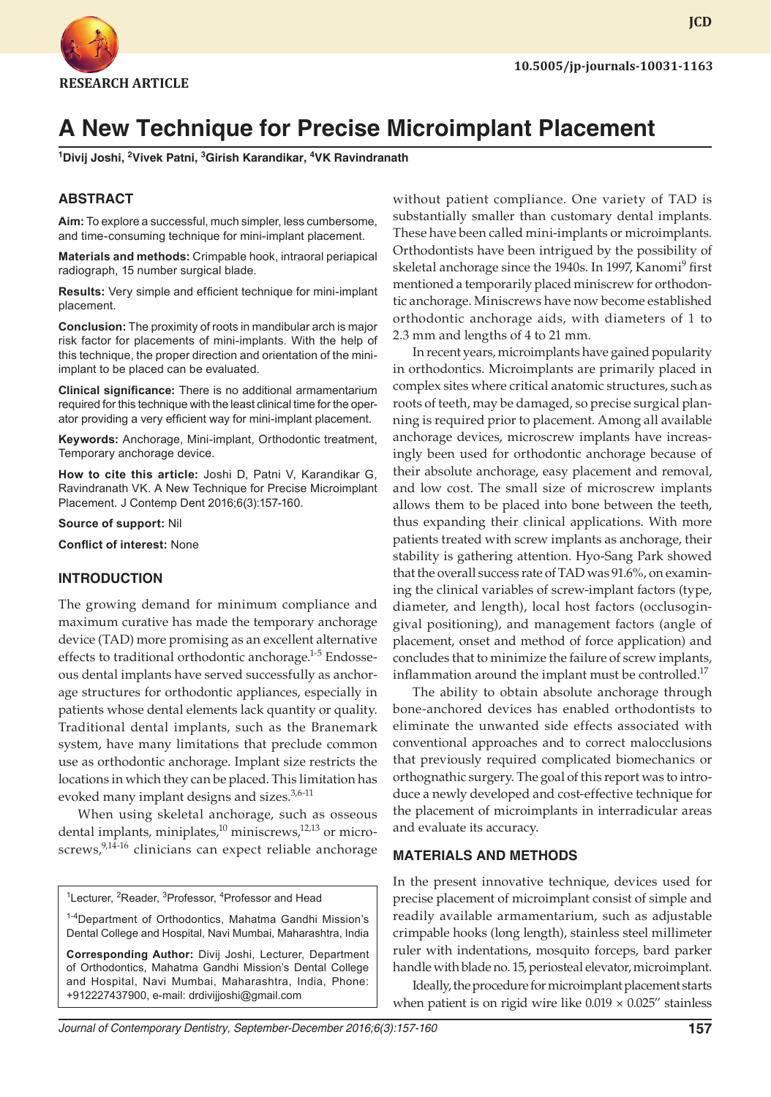

**JCD**

# **A New Technique for Precise Microimplant Placement**

**1 Divij Joshi, 2 Vivek Patni, 3 Girish Karandikar, 4 VK Ravindranath**

#### **ABSTRACT**

**Aim:** To explore a successful, much simpler, less cumbersome, and time-consuming technique for mini-implant placement.

**Materials and methods:** Crimpable hook, intraoral periapical radiograph, 15 number surgical blade.

**Results:** Very simple and efficient technique for mini-implant placement.

**Conclusion:** The proximity of roots in mandibular arch is major risk factor for placements of mini-implants. With the help of this technique, the proper direction and orientation of the miniimplant to be placed can be evaluated.

**Clinical significance:** There is no additional armamentarium required for this technique with the least clinical time for the operator providing a very efficient way for mini-implant placement.

**Keywords:** Anchorage, Mini-implant, Orthodontic treatment, Temporary anchorage device.

**How to cite this article:** Joshi D, Patni V, Karandikar G, Ravindranath VK. A New Technique for Precise Microimplant Placement. J Contemp Dent 2016;6(3):157-160.

**Source of support:** Nil

**Conflict of interest:** None

#### **INTRODUCTION**

The growing demand for minimum compliance and maximum curative has made the temporary anchorage device (TAD) more promising as an excellent alternative effects to traditional orthodontic anchorage.<sup>1-5</sup> Endosseous dental implants have served successfully as anchorage structures for orthodontic appliances, especially in patients whose dental elements lack quantity or quality. Traditional dental implants, such as the Branemark system, have many limitations that preclude common use as orthodontic anchorage. Implant size restricts the locations in which they can be placed. This limitation has evoked many implant designs and sizes. $3,6-11$ 

When using skeletal anchorage, such as osseous dental implants, miniplates, $^{10}$  miniscrews, $^{12,13}$  or microscrews,<sup>9,14-16</sup> clinicians can expect reliable anchorage

<sup>1</sup>Lecturer, <sup>2</sup>Reader, <sup>3</sup>Professor, <sup>4</sup>Professor and Head

<sup>1-4</sup>Department of Orthodontics, Mahatma Gandhi Mission's Dental College and Hospital, Navi Mumbai, Maharashtra, India

**Corresponding Author:** Divij Joshi, Lecturer, Department of Orthodontics, Mahatma Gandhi Mission's Dental College and Hospital, Navi Mumbai, Maharashtra, India, Phone: +912227437900, e-mail: drdivijjoshi@gmail.com

without patient compliance. One variety of TAD is substantially smaller than customary dental implants. These have been called mini-implants or microimplants. Orthodontists have been intrigued by the possibility of skeletal anchorage since the 1940s. In 1997, Kanomi<sup>9</sup> first mentioned a temporarily placed miniscrew for orthodontic anchorage. Miniscrews have now become established orthodontic anchorage aids, with diameters of 1 to 2.3 mm and lengths of 4 to 21 mm.

In recent years, microimplants have gained popularity in orthodontics. Microimplants are primarily placed in complex sites where critical anatomic structures, such as roots of teeth, may be damaged, so precise surgical planning is required prior to placement. Among all available anchorage devices, microscrew implants have increasingly been used for orthodontic anchorage because of their absolute anchorage, easy placement and removal, and low cost. The small size of microscrew implants allows them to be placed into bone between the teeth, thus expanding their clinical applications. With more patients treated with screw implants as anchorage, their stability is gathering attention. Hyo-Sang Park showed that the overall success rate of TAD was 91.6%, on examining the clinical variables of screw-implant factors (type, diameter, and length), local host factors (occlusogingival positioning), and management factors (angle of placement, onset and method of force application) and concludes that to minimize the failure of screw implants, inflammation around the implant must be controlled.<sup>17</sup>

The ability to obtain absolute anchorage through bone-anchored devices has enabled orthodontists to eliminate the unwanted side effects associated with conventional approaches and to correct malocclusions that previously required complicated biomechanics or orthognathic surgery. The goal of this report was to introduce a newly developed and cost-effective technique for the placement of microimplants in interradicular areas and evaluate its accuracy.

#### **MATERIALS AND METHODS**

In the present innovative technique, devices used for precise placement of microimplant consist of simple and readily available armamentarium, such as adjustable crimpable hooks (long length), stainless steel millimeter ruler with indentations, mosquito forceps, bard parker handle with blade no. 15, periosteal elevator, microimplant.

Ideally, the procedure for microimplant placement starts when patient is on rigid wire like  $0.019 \times 0.025$ " stainless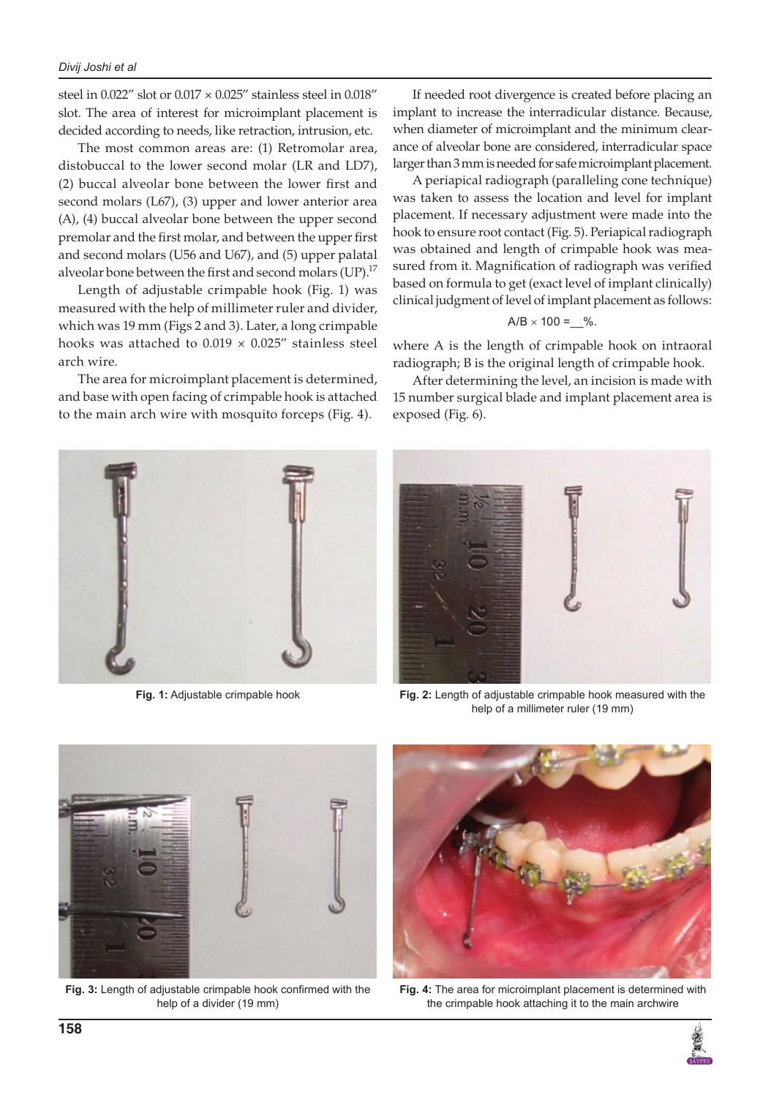steel in 0.022" slot or 0.017 × 0.025" stainless steel in 0.018" slot. The area of interest for microimplant placement is decided according to needs, like retraction, intrusion, etc.

The most common areas are: (1) Retromolar area, distobuccal to the lower second molar (LR and LD7), (2) buccal alveolar bone between the lower first and second molars (L67), (3) upper and lower anterior area (A), (4) buccal alveolar bone between the upper second premolar and the first molar, and between the upper first and second molars (U56 and U67), and (5) upper palatal alveolar bone between the first and second molars  $(UP).^{17}$ 

Length of adjustable crimpable hook (Fig. 1) was measured with the help of millimeter ruler and divider, which was 19 mm (Figs 2 and 3). Later, a long crimpable hooks was attached to  $0.019 \times 0.025$ " stainless steel arch wire.

The area for microimplant placement is determined, and base with open facing of crimpable hook is attached to the main arch wire with mosquito forceps (Fig. 4).



A periapical radiograph (paralleling cone technique) was taken to assess the location and level for implant placement. If necessary adjustment were made into the hook to ensure root contact (Fig. 5). Periapical radiograph was obtained and length of crimpable hook was measured from it. Magnification of radiograph was verified based on formula to get (exact level of implant clinically) clinical judgment of level of implant placement as follows:

$$
A/B \times 100 = 0
$$
%.

where A is the length of crimpable hook on intraoral radiograph; B is the original length of crimpable hook.

After determining the level, an incision is made with 15 number surgical blade and implant placement area is exposed (Fig. 6).





**Fig. 1:** Adjustable crimpable hook **Fig. 2:** Length of adjustable crimpable hook measured with the help of a millimeter ruler (19 mm)



**Fig. 3:** Length of adjustable crimpable hook confirmed with the help of a divider (19 mm)



**Fig. 4:** The area for microimplant placement is determined with the crimpable hook attaching it to the main archwire

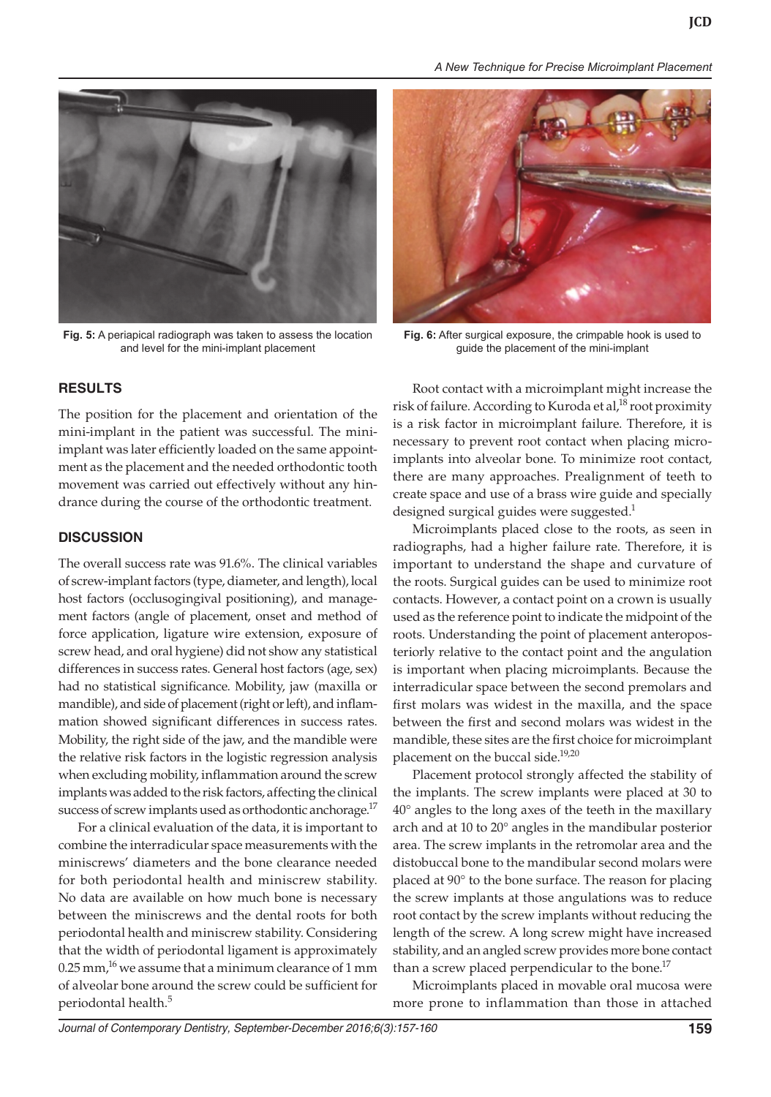*A New Technique for Precise Microimplant Placement*



**Fig. 5:** A periapical radiograph was taken to assess the location and level for the mini-implant placement

## **RESULTS**

The position for the placement and orientation of the mini-implant in the patient was successful. The miniimplant was later efficiently loaded on the same appointment as the placement and the needed orthodontic tooth movement was carried out effectively without any hindrance during the course of the orthodontic treatment.

## **DISCUSSION**

The overall success rate was 91.6%. The clinical variables of screw-implant factors (type, diameter, and length), local host factors (occlusogingival positioning), and management factors (angle of placement, onset and method of force application, ligature wire extension, exposure of screw head, and oral hygiene) did not show any statistical differences in success rates. General host factors (age, sex) had no statistical significance. Mobility, jaw (maxilla or mandible), and side of placement (right or left), and inflammation showed significant differences in success rates. Mobility, the right side of the jaw, and the mandible were the relative risk factors in the logistic regression analysis when excluding mobility, inflammation around the screw implants was added to the risk factors, affecting the clinical success of screw implants used as orthodontic anchorage.<sup>17</sup>

For a clinical evaluation of the data, it is important to combine the interradicular space measurements with the miniscrews' diameters and the bone clearance needed for both periodontal health and miniscrew stability. No data are available on how much bone is necessary between the miniscrews and the dental roots for both periodontal health and miniscrew stability. Considering that the width of periodontal ligament is approximately  $0.25$  mm,<sup>16</sup> we assume that a minimum clearance of 1 mm of alveolar bone around the screw could be sufficient for periodontal health.<sup>5</sup>



**Fig. 6:** After surgical exposure, the crimpable hook is used to guide the placement of the mini-implant

Root contact with a microimplant might increase the risk of failure. According to Kuroda et al, $^{18}$  root proximity is a risk factor in microimplant failure. Therefore, it is necessary to prevent root contact when placing microimplants into alveolar bone. To minimize root contact, there are many approaches. Prealignment of teeth to create space and use of a brass wire guide and specially designed surgical guides were suggested.<sup>1</sup>

Microimplants placed close to the roots, as seen in radiographs, had a higher failure rate. Therefore, it is important to understand the shape and curvature of the roots. Surgical guides can be used to minimize root contacts. However, a contact point on a crown is usually used as the reference point to indicate the midpoint of the roots. Understanding the point of placement anteroposteriorly relative to the contact point and the angulation is important when placing microimplants. Because the interradicular space between the second premolars and first molars was widest in the maxilla, and the space between the first and second molars was widest in the mandible, these sites are the first choice for microimplant placement on the buccal side.<sup>19,20</sup>

Placement protocol strongly affected the stability of the implants. The screw implants were placed at 30 to 40° angles to the long axes of the teeth in the maxillary arch and at 10 to 20° angles in the mandibular posterior area. The screw implants in the retromolar area and the distobuccal bone to the mandibular second molars were placed at 90° to the bone surface. The reason for placing the screw implants at those angulations was to reduce root contact by the screw implants without reducing the length of the screw. A long screw might have increased stability, and an angled screw provides more bone contact than a screw placed perpendicular to the bone.<sup>17</sup>

Microimplants placed in movable oral mucosa were more prone to inflammation than those in attached